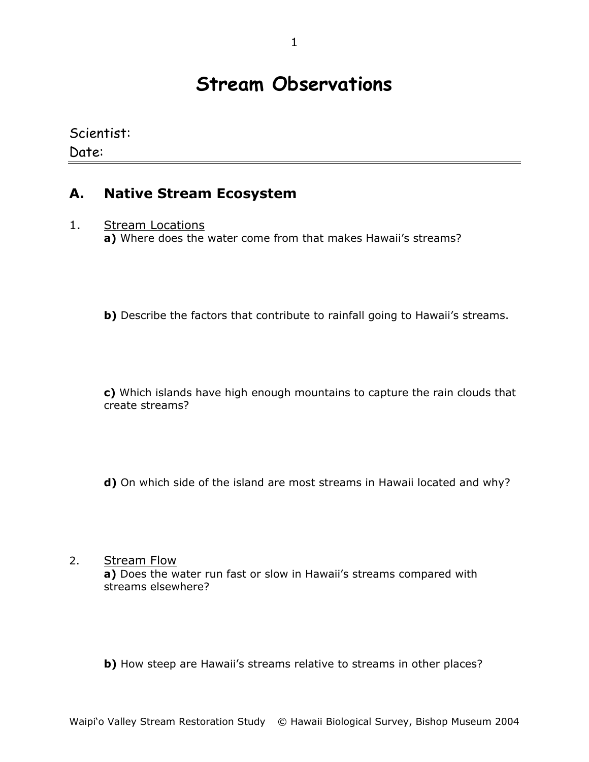# **Stream Observations**

Scientist:

### Date:

#### **A. Native Stream Ecosystem**

1. Stream Locations

**a)** Where does the water come from that makes Hawaii's streams?

**b)** Describe the factors that contribute to rainfall going to Hawaii's streams.

**c)** Which islands have high enough mountains to capture the rain clouds that create streams?

**d)** On which side of the island are most streams in Hawaii located and why?

2. Stream Flow **a)** Does the water run fast or slow in Hawaii's streams compared with streams elsewhere?

**b)** How steep are Hawaii's streams relative to streams in other places?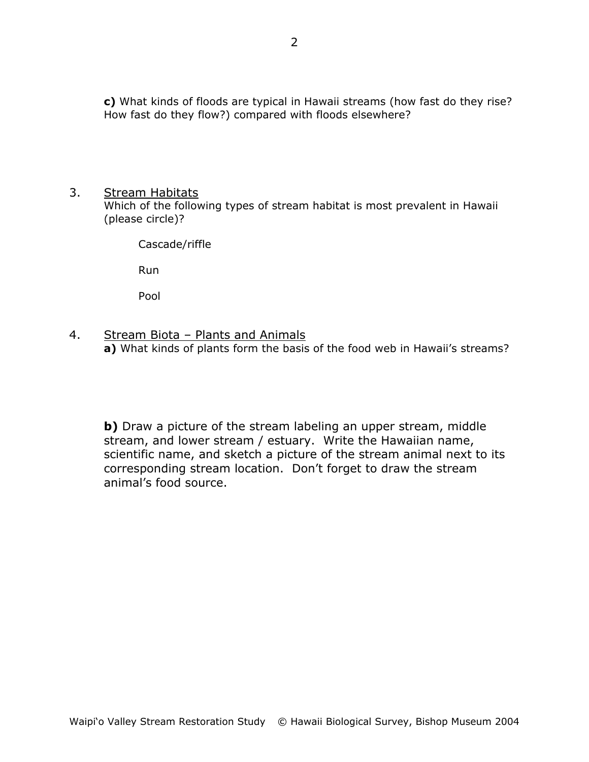**c)** What kinds of floods are typical in Hawaii streams (how fast do they rise? How fast do they flow?) compared with floods elsewhere?

#### 3. Stream Habitats

Which of the following types of stream habitat is most prevalent in Hawaii (please circle)?

Cascade/riffle

Run

Pool

4. Stream Biota - Plants and Animals **a)** What kinds of plants form the basis of the food web in Hawaii's streams?

**b)** Draw a picture of the stream labeling an upper stream, middle stream, and lower stream / estuary. Write the Hawaiian name, scientific name, and sketch a picture of the stream animal next to its corresponding stream location. Don't forget to draw the stream animal's food source.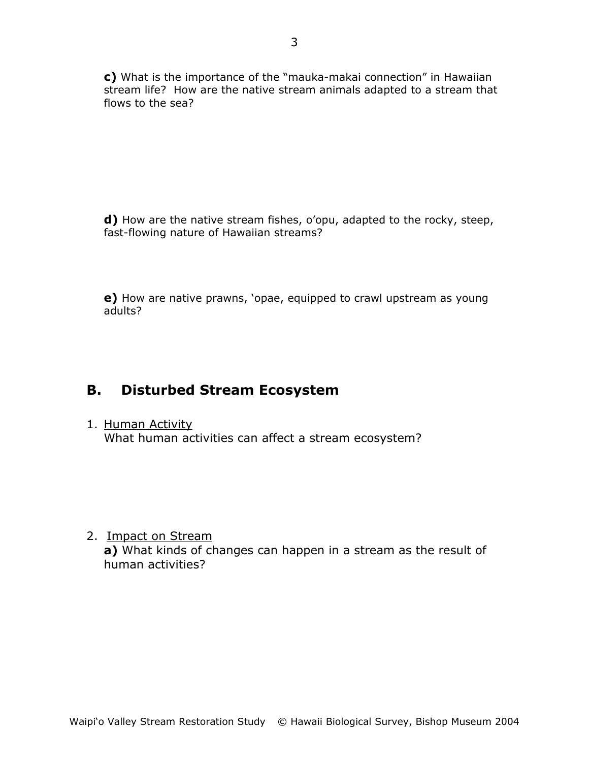**c)** What is the importance of the "mauka-makai connection" in Hawaiian stream life? How are the native stream animals adapted to a stream that flows to the sea?

**d)** How are the native stream fishes, o'opu, adapted to the rocky, steep, fast-flowing nature of Hawaiian streams?

**e)** How are native prawns, 'opae, equipped to crawl upstream as young adults?

## **B. Disturbed Stream Ecosystem**

1. Human Activity What human activities can affect a stream ecosystem?

2. Impact on Stream

**a)** What kinds of changes can happen in a stream as the result of human activities?